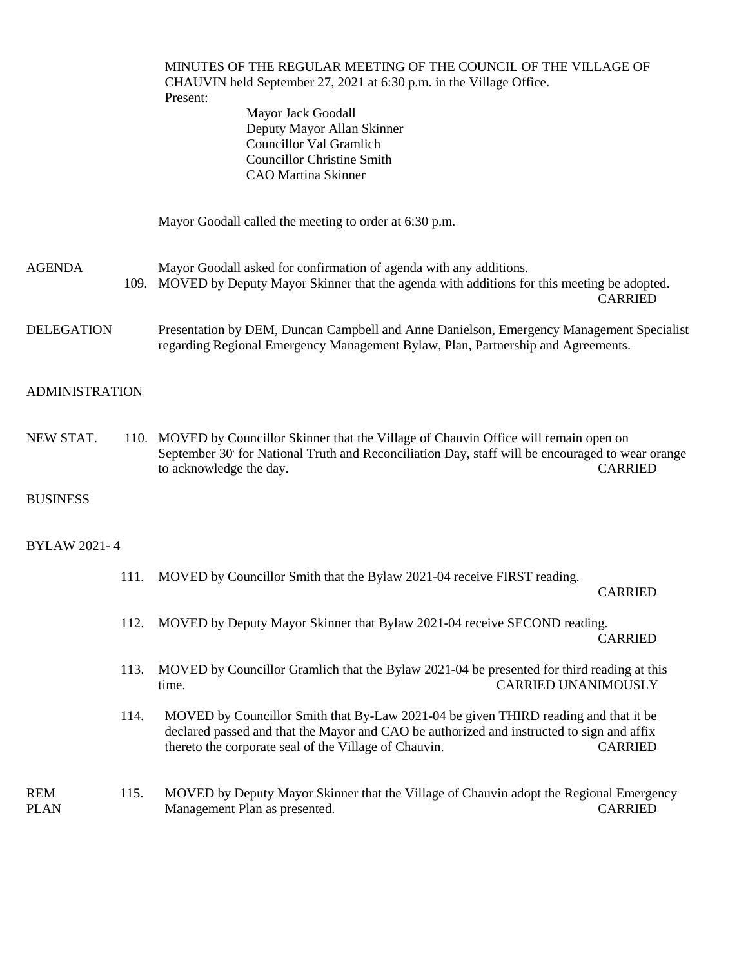|                           |      | MINUTES OF THE REGULAR MEETING OF THE COUNCIL OF THE VILLAGE OF<br>CHAUVIN held September 27, 2021 at 6:30 p.m. in the Village Office.<br>Present:<br>Mayor Jack Goodall<br>Deputy Mayor Allan Skinner<br><b>Councillor Val Gramlich</b><br><b>Councillor Christine Smith</b><br><b>CAO Martina Skinner</b> |                            |  |  |
|---------------------------|------|-------------------------------------------------------------------------------------------------------------------------------------------------------------------------------------------------------------------------------------------------------------------------------------------------------------|----------------------------|--|--|
|                           |      | Mayor Goodall called the meeting to order at 6:30 p.m.                                                                                                                                                                                                                                                      |                            |  |  |
| <b>AGENDA</b>             |      | Mayor Goodall asked for confirmation of agenda with any additions.<br>109. MOVED by Deputy Mayor Skinner that the agenda with additions for this meeting be adopted.                                                                                                                                        | <b>CARRIED</b>             |  |  |
| <b>DELEGATION</b>         |      | Presentation by DEM, Duncan Campbell and Anne Danielson, Emergency Management Specialist<br>regarding Regional Emergency Management Bylaw, Plan, Partnership and Agreements.                                                                                                                                |                            |  |  |
| <b>ADMINISTRATION</b>     |      |                                                                                                                                                                                                                                                                                                             |                            |  |  |
| NEW STAT.                 |      | 110. MOVED by Councillor Skinner that the Village of Chauvin Office will remain open on<br>September 30' for National Truth and Reconciliation Day, staff will be encouraged to wear orange<br>to acknowledge the day.                                                                                      | <b>CARRIED</b>             |  |  |
| <b>BUSINESS</b>           |      |                                                                                                                                                                                                                                                                                                             |                            |  |  |
| <b>BYLAW 2021-4</b>       |      |                                                                                                                                                                                                                                                                                                             |                            |  |  |
|                           | 111. | MOVED by Councillor Smith that the Bylaw 2021-04 receive FIRST reading.                                                                                                                                                                                                                                     | <b>CARRIED</b>             |  |  |
|                           | 112. | MOVED by Deputy Mayor Skinner that Bylaw 2021-04 receive SECOND reading.                                                                                                                                                                                                                                    | <b>CARRIED</b>             |  |  |
|                           | 113. | MOVED by Councillor Gramlich that the Bylaw 2021-04 be presented for third reading at this<br>time.                                                                                                                                                                                                         | <b>CARRIED UNANIMOUSLY</b> |  |  |
|                           | 114. | MOVED by Councillor Smith that By-Law 2021-04 be given THIRD reading and that it be<br>declared passed and that the Mayor and CAO be authorized and instructed to sign and affix<br>thereto the corporate seal of the Village of Chauvin.                                                                   | <b>CARRIED</b>             |  |  |
| <b>REM</b><br><b>PLAN</b> | 115. | MOVED by Deputy Mayor Skinner that the Village of Chauvin adopt the Regional Emergency<br>Management Plan as presented.                                                                                                                                                                                     | <b>CARRIED</b>             |  |  |